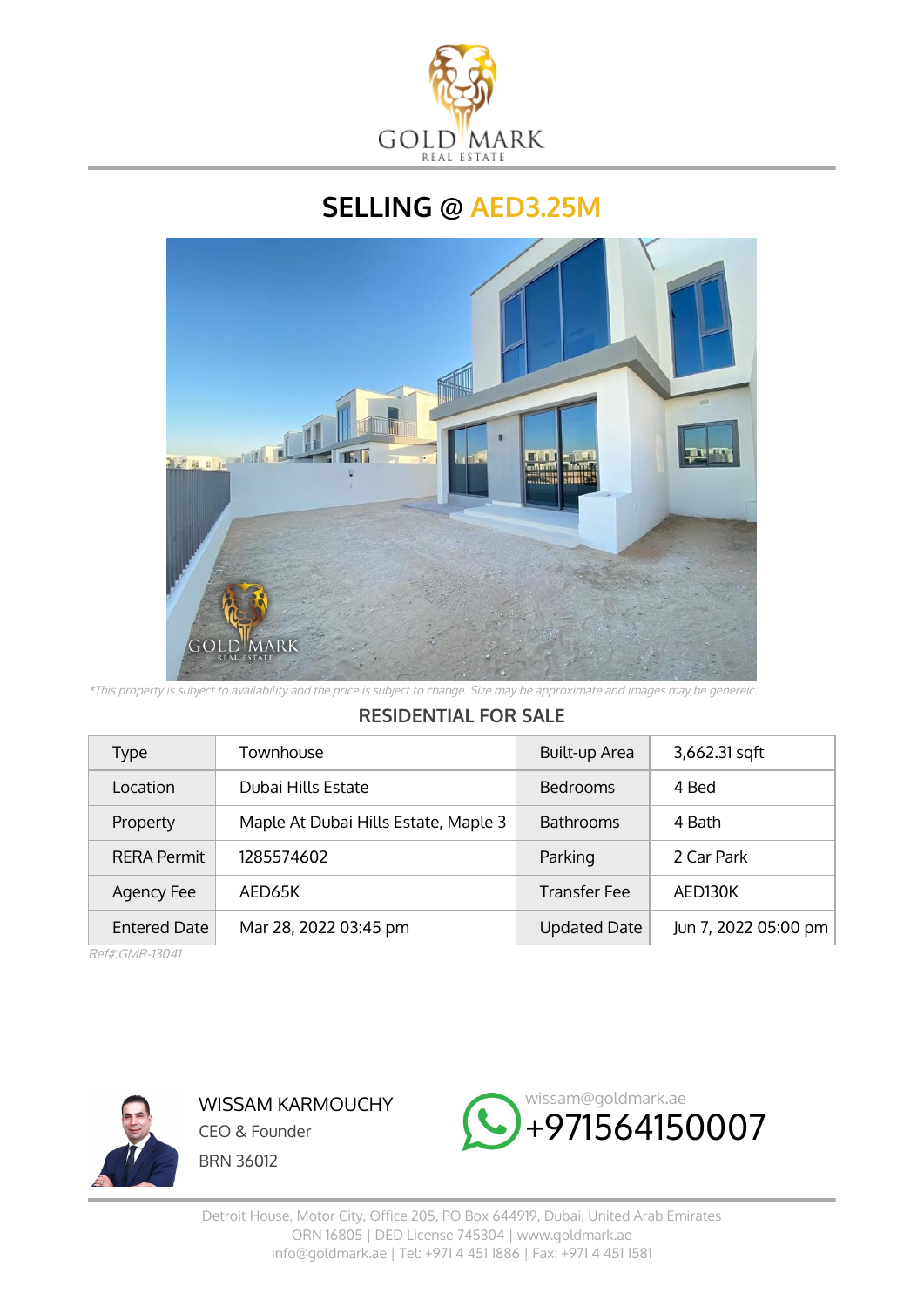

**SELLING @ AED3.25M**



\*This property is subject to availability and the price is subject to change. Size may be approximate and images may be genereic.

## **RESIDENTIAL FOR SALE**

| Type                | Townhouse                            | Built-up Area       | 3,662.31 sqft        |
|---------------------|--------------------------------------|---------------------|----------------------|
| Location            | Dubai Hills Estate                   | <b>Bedrooms</b>     | 4 Bed                |
| Property            | Maple At Dubai Hills Estate, Maple 3 | <b>Bathrooms</b>    | 4 Bath               |
| <b>RERA Permit</b>  | 1285574602                           | Parking             | 2 Car Park           |
| Agency Fee          | AED65K                               | <b>Transfer Fee</b> | AFD <sub>130</sub> K |
| <b>Entered Date</b> | Mar 28, 2022 03:45 pm                | <b>Updated Date</b> | Jun 7, 2022 05:00 pm |

Ref#:GMR-13041



WISSAM KARMOUCHY CEO & Founder BRN 36012

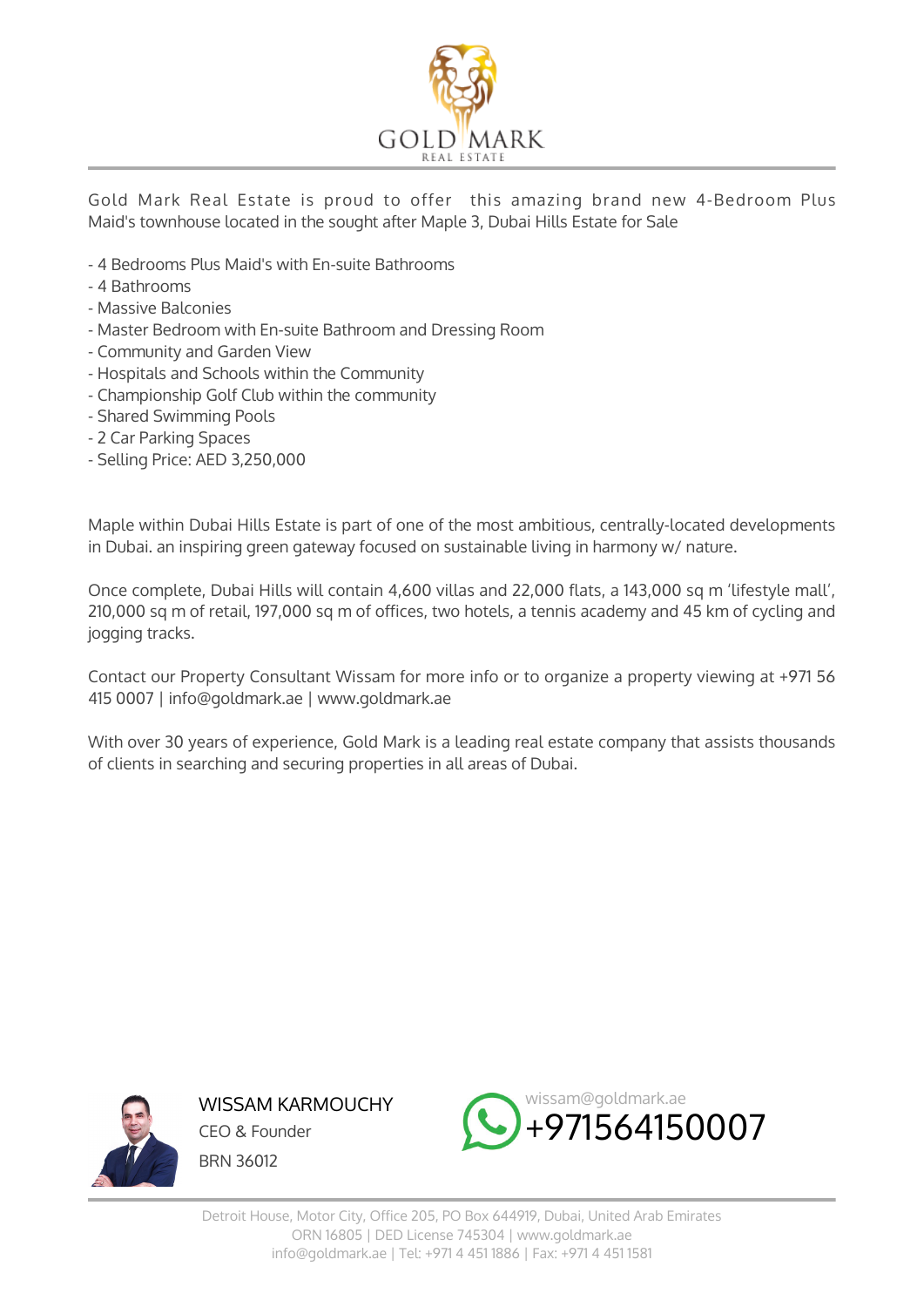

Gold Mark Real Estate is proud to offer this amazing brand new 4-Bedroom Plus Maid's townhouse located in the sought after Maple 3, Dubai Hills Estate for Sale

- 4 Bedrooms Plus Maid's with En-suite Bathrooms
- 4 Bathrooms
- Massive Balconies
- Master Bedroom with En-suite Bathroom and Dressing Room
- Community and Garden View
- Hospitals and Schools within the Community
- Championship Golf Club within the community
- Shared Swimming Pools
- 2 Car Parking Spaces
- Selling Price: AED 3,250,000

Maple within Dubai Hills Estate is part of one of the most ambitious, centrally-located developments in Dubai. an inspiring green gateway focused on sustainable living in harmony w/ nature.

Once complete, Dubai Hills will contain 4,600 villas and 22,000 flats, a 143,000 sq m 'lifestyle mall', 210,000 sq m of retail, 197,000 sq m of offices, two hotels, a tennis academy and 45 km of cycling and jogging tracks.

Contact our Property Consultant Wissam for more info or to organize a property viewing at +971 56 415 0007 | info@goldmark.ae | www.goldmark.ae

With over 30 years of experience, Gold Mark is a leading real estate company that assists thousands of clients in searching and securing properties in all areas of Dubai.



WISSAM KARMOUCHY CEO & Founder BRN 36012